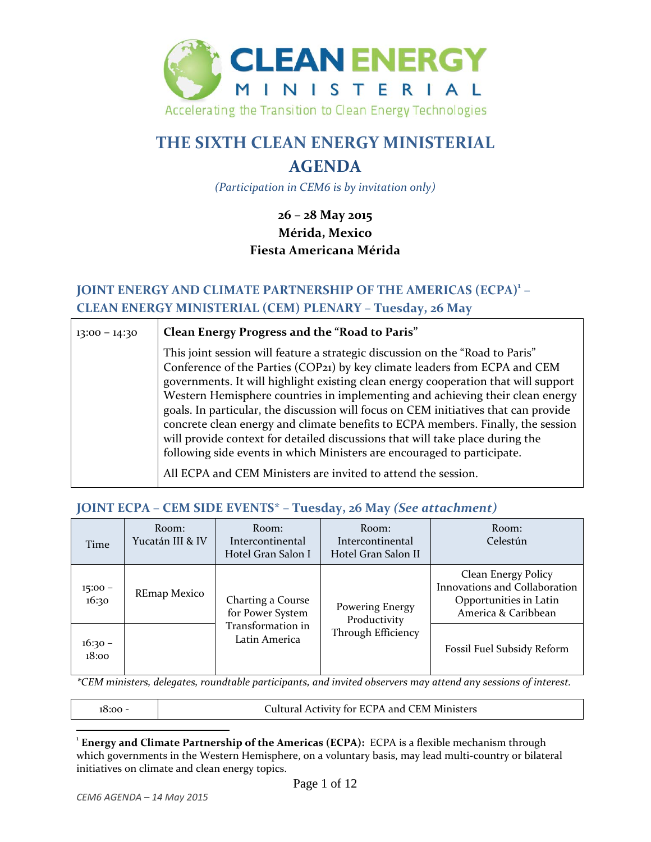

# **THE SIXTH CLEAN ENERGY MINISTERIAL**

# **AGENDA**

*(Participation in CEM6 is by invitation only)*

## **26 – 28 May 2015 Mérida, Mexico Fiesta Americana Mérida**

## **JOINT ENERGY AND CLIMATE PARTNERSHIP OF THE AMERICAS (ECPA)1 – CLEAN ENERGY MINISTERIAL (CEM) PLENARY – Tuesday, 26 May**

| $13:00 - 14:30$ | Clean Energy Progress and the "Road to Paris"                                                                                                                                                                                                                                                                                                                                                                                                                                                                                                                                                                                                                                                                                              |
|-----------------|--------------------------------------------------------------------------------------------------------------------------------------------------------------------------------------------------------------------------------------------------------------------------------------------------------------------------------------------------------------------------------------------------------------------------------------------------------------------------------------------------------------------------------------------------------------------------------------------------------------------------------------------------------------------------------------------------------------------------------------------|
|                 | This joint session will feature a strategic discussion on the "Road to Paris"<br>Conference of the Parties (COP21) by key climate leaders from ECPA and CEM<br>governments. It will highlight existing clean energy cooperation that will support<br>Western Hemisphere countries in implementing and achieving their clean energy<br>goals. In particular, the discussion will focus on CEM initiatives that can provide<br>concrete clean energy and climate benefits to ECPA members. Finally, the session<br>will provide context for detailed discussions that will take place during the<br>following side events in which Ministers are encouraged to participate.<br>All ECPA and CEM Ministers are invited to attend the session. |

### **JOINT ECPA – CEM SIDE EVENTS\* – Tuesday, 26 May** *(See attachment)*

| Time               | Room:<br>Yucatán III & IV | Room:<br>Intercontinental<br>Hotel Gran Salon I | Room:<br>Intercontinental<br>Hotel Gran Salon II | Room:<br>Celestún                                                                                     |
|--------------------|---------------------------|-------------------------------------------------|--------------------------------------------------|-------------------------------------------------------------------------------------------------------|
| $15:00 -$<br>16:30 | REmap Mexico              | Charting a Course<br>for Power System           | Powering Energy<br>Productivity                  | Clean Energy Policy<br>Innovations and Collaboration<br>Opportunities in Latin<br>America & Caribbean |
| $16:30 -$<br>18:00 |                           | Transformation in<br>Latin America              | Through Efficiency                               | Fossil Fuel Subsidy Reform                                                                            |

*\*CEM ministers, delegates, roundtable participants, and invited observers may attend any sessions of interest.*

18:00 - Cultural Activity for ECPA and CEM Ministers

<sup>1</sup> **Energy and Climate Partnership of the Americas (ECPA):** ECPA is a flexible mechanism through which governments in the Western Hemisphere, on a voluntary basis, may lead multi-country or bilateral initiatives on climate and clean energy topics.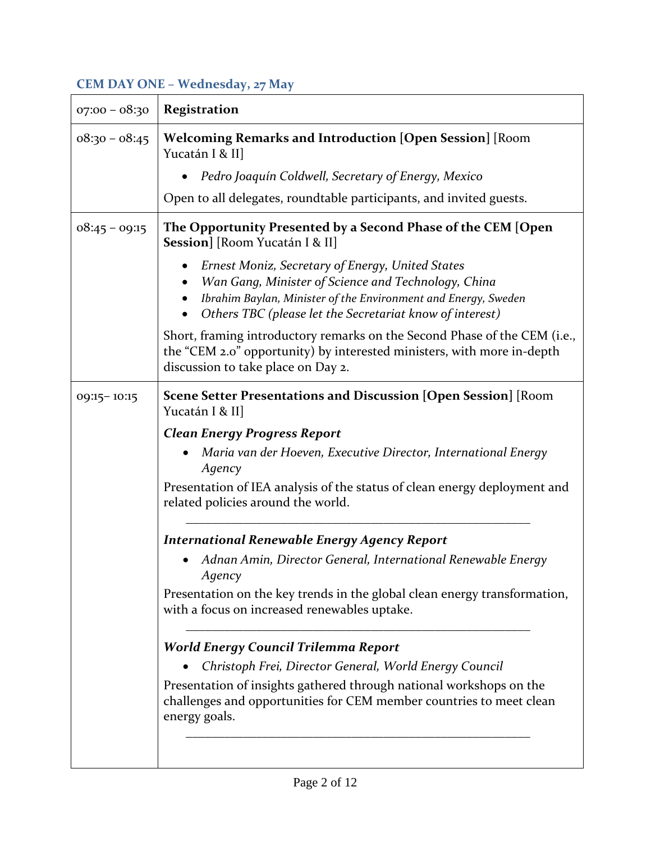# **CEM DAY ONE – Wednesday, 27 May**

| $07:00 - 08:30$                                                                                         | <b>Registration</b>                                                                                                                                                                                                                   |  |
|---------------------------------------------------------------------------------------------------------|---------------------------------------------------------------------------------------------------------------------------------------------------------------------------------------------------------------------------------------|--|
| $08:30 - 08:45$                                                                                         | <b>Welcoming Remarks and Introduction [Open Session] [Room</b><br>Yucatán I & II]                                                                                                                                                     |  |
|                                                                                                         | Pedro Joaquín Coldwell, Secretary of Energy, Mexico                                                                                                                                                                                   |  |
|                                                                                                         | Open to all delegates, roundtable participants, and invited guests.                                                                                                                                                                   |  |
| $08:45 - 09:15$                                                                                         | The Opportunity Presented by a Second Phase of the CEM [Open<br>Session] [Room Yucatán I & II]                                                                                                                                        |  |
|                                                                                                         | Ernest Moniz, Secretary of Energy, United States<br>Wan Gang, Minister of Science and Technology, China<br>Ibrahim Baylan, Minister of the Environment and Energy, Sweden<br>Others TBC (please let the Secretariat know of interest) |  |
|                                                                                                         | Short, framing introductory remarks on the Second Phase of the CEM (i.e.,<br>the "CEM 2.0" opportunity) by interested ministers, with more in-depth<br>discussion to take place on Day 2.                                             |  |
| <b>Scene Setter Presentations and Discussion [Open Session]</b> [Room<br>09:15-10:15<br>Yucatán I & II] |                                                                                                                                                                                                                                       |  |
|                                                                                                         | <b>Clean Energy Progress Report</b>                                                                                                                                                                                                   |  |
|                                                                                                         | Maria van der Hoeven, Executive Director, International Energy<br>$\bullet$<br>Agency                                                                                                                                                 |  |
|                                                                                                         | Presentation of IEA analysis of the status of clean energy deployment and<br>related policies around the world.                                                                                                                       |  |
|                                                                                                         | <b>International Renewable Energy Agency Report</b>                                                                                                                                                                                   |  |
|                                                                                                         | Adnan Amin, Director General, International Renewable Energy<br>Agency                                                                                                                                                                |  |
|                                                                                                         | Presentation on the key trends in the global clean energy transformation,<br>with a focus on increased renewables uptake.                                                                                                             |  |
|                                                                                                         | <b>World Energy Council Trilemma Report</b>                                                                                                                                                                                           |  |
|                                                                                                         | Christoph Frei, Director General, World Energy Council                                                                                                                                                                                |  |
|                                                                                                         | Presentation of insights gathered through national workshops on the<br>challenges and opportunities for CEM member countries to meet clean<br>energy goals.                                                                           |  |
|                                                                                                         |                                                                                                                                                                                                                                       |  |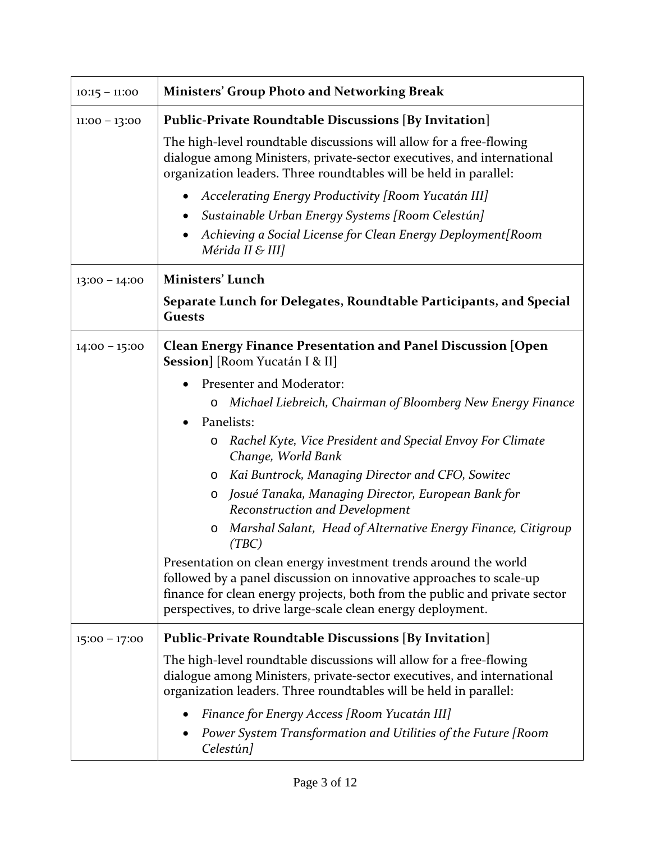| $10:15 - 11:00$ | <b>Ministers' Group Photo and Networking Break</b>                                                                                                                                                                                                                                  |  |
|-----------------|-------------------------------------------------------------------------------------------------------------------------------------------------------------------------------------------------------------------------------------------------------------------------------------|--|
| $11:00 - 13:00$ | <b>Public-Private Roundtable Discussions [By Invitation]</b>                                                                                                                                                                                                                        |  |
|                 | The high-level roundtable discussions will allow for a free-flowing<br>dialogue among Ministers, private-sector executives, and international<br>organization leaders. Three roundtables will be held in parallel:                                                                  |  |
|                 | Accelerating Energy Productivity [Room Yucatán III]<br>٠                                                                                                                                                                                                                            |  |
|                 | Sustainable Urban Energy Systems [Room Celestún]<br>٠                                                                                                                                                                                                                               |  |
|                 | Achieving a Social License for Clean Energy Deployment[Room<br>Mérida II & III]                                                                                                                                                                                                     |  |
| $13:00 - 14:00$ | <b>Ministers' Lunch</b>                                                                                                                                                                                                                                                             |  |
|                 | Separate Lunch for Delegates, Roundtable Participants, and Special<br><b>Guests</b>                                                                                                                                                                                                 |  |
| $14:00 - 15:00$ | <b>Clean Energy Finance Presentation and Panel Discussion [Open</b><br>Session] [Room Yucatán I & II]                                                                                                                                                                               |  |
|                 | Presenter and Moderator:                                                                                                                                                                                                                                                            |  |
|                 | Michael Liebreich, Chairman of Bloomberg New Energy Finance<br>$\circ$                                                                                                                                                                                                              |  |
|                 | Panelists:<br>$\bullet$                                                                                                                                                                                                                                                             |  |
|                 | Rachel Kyte, Vice President and Special Envoy For Climate<br>O<br>Change, World Bank                                                                                                                                                                                                |  |
|                 | Kai Buntrock, Managing Director and CFO, Sowitec<br>O                                                                                                                                                                                                                               |  |
|                 | Josué Tanaka, Managing Director, European Bank for<br>O<br>Reconstruction and Development                                                                                                                                                                                           |  |
|                 | Marshal Salant, Head of Alternative Energy Finance, Citigroup<br>O<br>(TBC)                                                                                                                                                                                                         |  |
|                 | Presentation on clean energy investment trends around the world<br>followed by a panel discussion on innovative approaches to scale-up<br>finance for clean energy projects, both from the public and private sector<br>perspectives, to drive large-scale clean energy deployment. |  |
| $15:00 - 17:00$ | <b>Public-Private Roundtable Discussions [By Invitation]</b>                                                                                                                                                                                                                        |  |
|                 | The high-level roundtable discussions will allow for a free-flowing<br>dialogue among Ministers, private-sector executives, and international<br>organization leaders. Three roundtables will be held in parallel:                                                                  |  |
|                 | Finance for Energy Access [Room Yucatán III]                                                                                                                                                                                                                                        |  |
|                 | Power System Transformation and Utilities of the Future [Room<br>Celestún]                                                                                                                                                                                                          |  |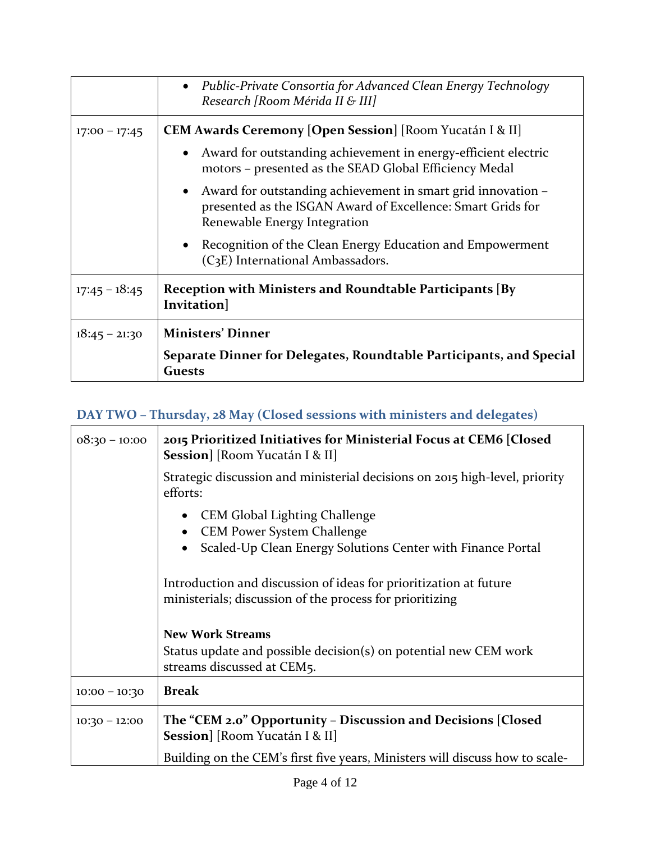|                 | • Public-Private Consortia for Advanced Clean Energy Technology<br>Research [Room Mérida II & III]                                                                       |  |
|-----------------|--------------------------------------------------------------------------------------------------------------------------------------------------------------------------|--|
| $17:00 - 17:45$ | <b>CEM Awards Ceremony [Open Session]</b> [Room Yucatán I & II]                                                                                                          |  |
|                 | Award for outstanding achievement in energy-efficient electric<br>motors - presented as the SEAD Global Efficiency Medal                                                 |  |
|                 | Award for outstanding achievement in smart grid innovation –<br>$\bullet$<br>presented as the ISGAN Award of Excellence: Smart Grids for<br>Renewable Energy Integration |  |
|                 | Recognition of the Clean Energy Education and Empowerment<br>(C <sub>3</sub> E) International Ambassadors.                                                               |  |
| $17:45 - 18:45$ | Reception with Ministers and Roundtable Participants [By]<br>Invitation]                                                                                                 |  |
| $18:45 - 21:30$ | <b>Ministers' Dinner</b>                                                                                                                                                 |  |
|                 | Separate Dinner for Delegates, Roundtable Participants, and Special<br><b>Guests</b>                                                                                     |  |

# **DAY TWO – Thursday, 28 May (Closed sessions with ministers and delegates)**

| $08:30 - 10:00$ | 2015 Prioritized Initiatives for Ministerial Focus at CEM6 [Closed]<br>Session] [Room Yucatán I & II]                         |
|-----------------|-------------------------------------------------------------------------------------------------------------------------------|
|                 | Strategic discussion and ministerial decisions on 2015 high-level, priority<br>efforts:                                       |
|                 | CEM Global Lighting Challenge<br><b>CEM Power System Challenge</b>                                                            |
|                 | Scaled-Up Clean Energy Solutions Center with Finance Portal                                                                   |
|                 | Introduction and discussion of ideas for prioritization at future<br>ministerials; discussion of the process for prioritizing |
|                 | <b>New Work Streams</b>                                                                                                       |
|                 | Status update and possible decision(s) on potential new CEM work<br>streams discussed at CEM5.                                |
| $10:00 - 10:30$ | <b>Break</b>                                                                                                                  |
| $10:30 - 12:00$ | The "CEM 2.0" Opportunity - Discussion and Decisions [Closed<br>Session] [Room Yucatán I & II]                                |
|                 | Building on the CEM's first five years, Ministers will discuss how to scale-                                                  |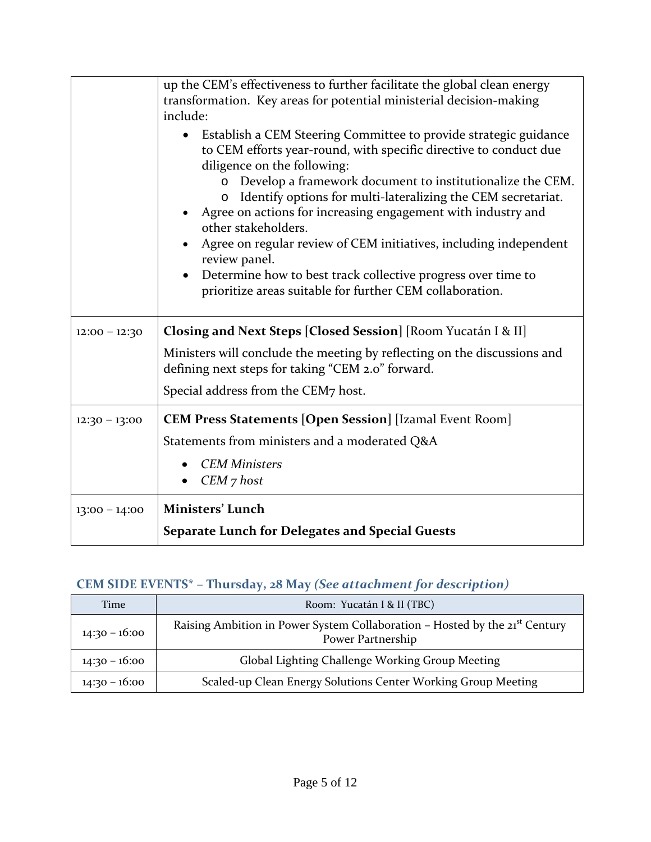|                 | up the CEM's effectiveness to further facilitate the global clean energy<br>transformation. Key areas for potential ministerial decision-making<br>include:                                                                                                                                                                                                                                                                                                                                                                                                                                                           |
|-----------------|-----------------------------------------------------------------------------------------------------------------------------------------------------------------------------------------------------------------------------------------------------------------------------------------------------------------------------------------------------------------------------------------------------------------------------------------------------------------------------------------------------------------------------------------------------------------------------------------------------------------------|
|                 | Establish a CEM Steering Committee to provide strategic guidance<br>to CEM efforts year-round, with specific directive to conduct due<br>diligence on the following:<br>Develop a framework document to institutionalize the CEM.<br>Identify options for multi-lateralizing the CEM secretariat.<br>$\circ$<br>Agree on actions for increasing engagement with industry and<br>other stakeholders.<br>Agree on regular review of CEM initiatives, including independent<br>review panel.<br>Determine how to best track collective progress over time to<br>prioritize areas suitable for further CEM collaboration. |
| $12:00 - 12:30$ | Closing and Next Steps [Closed Session] [Room Yucatán I & II]                                                                                                                                                                                                                                                                                                                                                                                                                                                                                                                                                         |
|                 | Ministers will conclude the meeting by reflecting on the discussions and<br>defining next steps for taking "CEM 2.0" forward.                                                                                                                                                                                                                                                                                                                                                                                                                                                                                         |
|                 | Special address from the CEM7 host.                                                                                                                                                                                                                                                                                                                                                                                                                                                                                                                                                                                   |
| $12:30 - 13:00$ | <b>CEM Press Statements [Open Session] [Izamal Event Room]</b>                                                                                                                                                                                                                                                                                                                                                                                                                                                                                                                                                        |
|                 | Statements from ministers and a moderated Q&A                                                                                                                                                                                                                                                                                                                                                                                                                                                                                                                                                                         |
|                 | <b>CEM Ministers</b><br>$CEM$ 7 host                                                                                                                                                                                                                                                                                                                                                                                                                                                                                                                                                                                  |
| $13:00 - 14:00$ | Ministers' Lunch                                                                                                                                                                                                                                                                                                                                                                                                                                                                                                                                                                                                      |
|                 | <b>Separate Lunch for Delegates and Special Guests</b>                                                                                                                                                                                                                                                                                                                                                                                                                                                                                                                                                                |

# **CEM SIDE EVENTS\* – Thursday, 28 May** *(See attachment for description)*

| Time            | Room: Yucatán I & II (TBC)                                                                                   |  |
|-----------------|--------------------------------------------------------------------------------------------------------------|--|
| $14:30 - 16:00$ | Raising Ambition in Power System Collaboration - Hosted by the 21 <sup>st</sup> Century<br>Power Partnership |  |
| $14:30 - 16:00$ | Global Lighting Challenge Working Group Meeting                                                              |  |
| $14:30 - 16:00$ | Scaled-up Clean Energy Solutions Center Working Group Meeting                                                |  |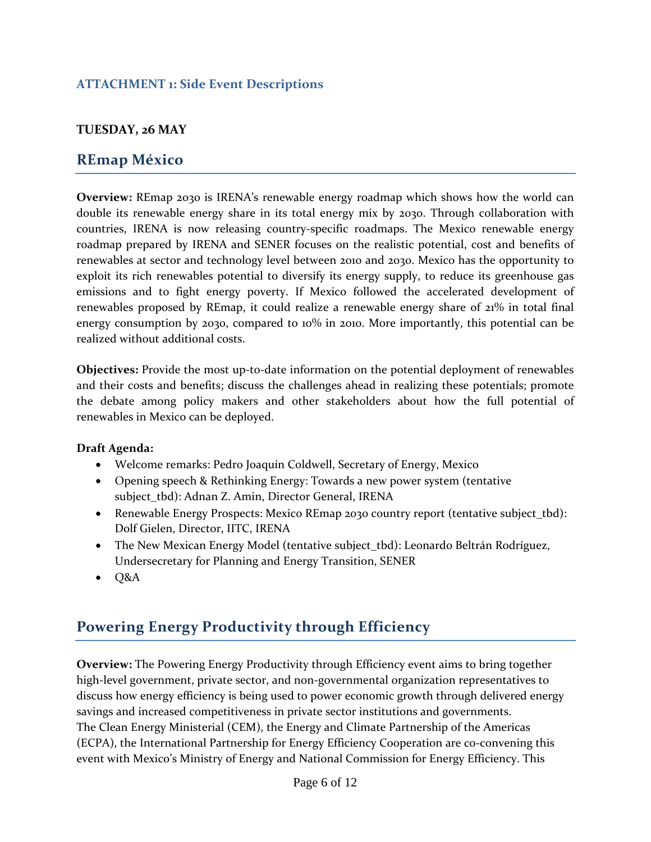## **ATTACHMENT 1: Side Event Descriptions**

### **TUESDAY, 26 MAY**

## **REmap México**

**Overview:** REmap 2030 is IRENA's renewable energy roadmap which shows how the world can double its renewable energy share in its total energy mix by 2030. Through collaboration with countries, IRENA is now releasing country‐specific roadmaps. The Mexico renewable energy roadmap prepared by IRENA and SENER focuses on the realistic potential, cost and benefits of renewables at sector and technology level between 2010 and 2030. Mexico has the opportunity to exploit its rich renewables potential to diversify its energy supply, to reduce its greenhouse gas emissions and to fight energy poverty. If Mexico followed the accelerated development of renewables proposed by REmap, it could realize a renewable energy share of 21% in total final energy consumption by 2030, compared to 10% in 2010. More importantly, this potential can be realized without additional costs.

**Objectives:** Provide the most up-to-date information on the potential deployment of renewables and their costs and benefits; discuss the challenges ahead in realizing these potentials; promote the debate among policy makers and other stakeholders about how the full potential of renewables in Mexico can be deployed.

#### **Draft Agenda:**

- Welcome remarks: Pedro Joaquín Coldwell, Secretary of Energy, Mexico
- Opening speech & Rethinking Energy: Towards a new power system (tentative subject\_tbd): Adnan Z. Amin, Director General, IRENA
- Renewable Energy Prospects: Mexico REmap 2030 country report (tentative subject\_tbd): Dolf Gielen, Director, IITC, IRENA
- The New Mexican Energy Model (tentative subject\_tbd): Leonardo Beltrán Rodríguez, Undersecretary for Planning and Energy Transition, SENER
- $\bullet$  Q&A

## **Powering Energy Productivity through Efficiency**

**Overview:** The Powering Energy Productivity through Efficiency event aims to bring together high-level government, private sector, and non-governmental organization representatives to discuss how energy efficiency is being used to power economic growth through delivered energy savings and increased competitiveness in private sector institutions and governments. The Clean Energy Ministerial (CEM), the Energy and Climate Partnership of the Americas (ECPA), the International Partnership for Energy Efficiency Cooperation are co-convening this event with Mexico's Ministry of Energy and National Commission for Energy Efficiency. This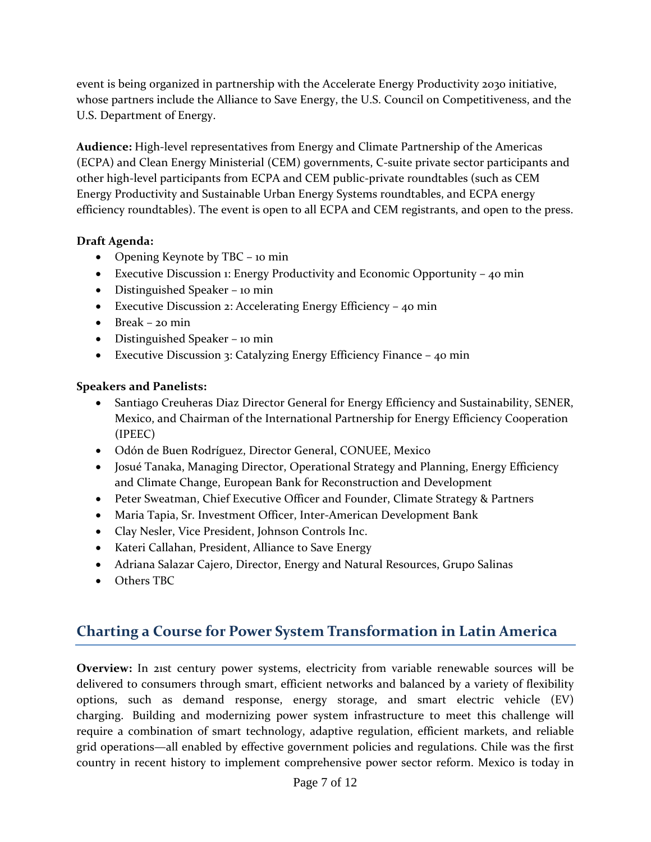event is being organized in partnership with the Accelerate Energy Productivity 2030 initiative, whose partners include the Alliance to Save Energy, the U.S. Council on Competitiveness, and the U.S. Department of Energy.

**Audience:** High‐level representatives from Energy and Climate Partnership of the Americas (ECPA) and Clean Energy Ministerial (CEM) governments, C‐suite private sector participants and other high‐level participants from ECPA and CEM public‐private roundtables (such as CEM Energy Productivity and Sustainable Urban Energy Systems roundtables, and ECPA energy efficiency roundtables). The event is open to all ECPA and CEM registrants, and open to the press.

### **Draft Agenda:**

- Opening Keynote by TBC 10 min
- Executive Discussion 1: Energy Productivity and Economic Opportunity 40 min
- Distinguished Speaker 10 min
- Executive Discussion 2: Accelerating Energy Efficiency 40 min
- $\bullet$  Break 20 min
- Distinguished Speaker 10 min
- Executive Discussion 3: Catalyzing Energy Efficiency Finance 40 min

## **Speakers and Panelists:**

- Santiago Creuheras Diaz Director General for Energy Efficiency and Sustainability, SENER, Mexico, and Chairman of the International Partnership for Energy Efficiency Cooperation (IPEEC)
- Odón de Buen Rodríguez, Director General, CONUEE, Mexico
- Josué Tanaka, Managing Director, Operational Strategy and Planning, Energy Efficiency and Climate Change, European Bank for Reconstruction and Development
- Peter Sweatman, Chief Executive Officer and Founder, Climate Strategy & Partners
- Maria Tapia, Sr. Investment Officer, Inter-American Development Bank
- Clay Nesler, Vice President, Johnson Controls Inc.
- Kateri Callahan, President, Alliance to Save Energy
- Adriana Salazar Cajero, Director, Energy and Natural Resources, Grupo Salinas
- Others TBC

# **Charting a Course for Power System Transformation in Latin America**

**Overview:** In 21st century power systems, electricity from variable renewable sources will be delivered to consumers through smart, efficient networks and balanced by a variety of flexibility options, such as demand response, energy storage, and smart electric vehicle (EV) charging. Building and modernizing power system infrastructure to meet this challenge will require a combination of smart technology, adaptive regulation, efficient markets, and reliable grid operations—all enabled by effective government policies and regulations. Chile was the first country in recent history to implement comprehensive power sector reform. Mexico is today in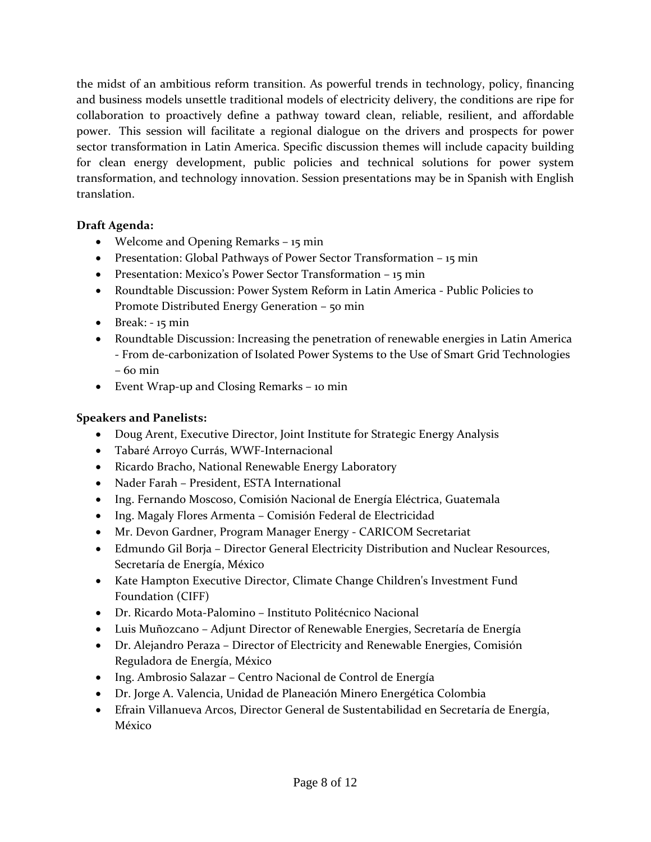the midst of an ambitious reform transition. As powerful trends in technology, policy, financing and business models unsettle traditional models of electricity delivery, the conditions are ripe for collaboration to proactively define a pathway toward clean, reliable, resilient, and affordable power. This session will facilitate a regional dialogue on the drivers and prospects for power sector transformation in Latin America. Specific discussion themes will include capacity building for clean energy development, public policies and technical solutions for power system transformation, and technology innovation. Session presentations may be in Spanish with English translation.

## **Draft Agenda:**

- Welcome and Opening Remarks 15 min
- Presentation: Global Pathways of Power Sector Transformation 15 min
- Presentation: Mexico's Power Sector Transformation 15 min
- Roundtable Discussion: Power System Reform in Latin America ‐ Public Policies to Promote Distributed Energy Generation – 50 min
- $\bullet$  Break:  $-15$  min
- Roundtable Discussion: Increasing the penetration of renewable energies in Latin America ‐ From de‐carbonization of Isolated Power Systems to the Use of Smart Grid Technologies – 60 min
- Event Wrap‐up and Closing Remarks 10 min

## **Speakers and Panelists:**

- Doug Arent, Executive Director, Joint Institute for Strategic Energy Analysis
- Tabaré Arroyo Currás, WWF‐Internacional
- Ricardo Bracho, National Renewable Energy Laboratory
- Nader Farah President, ESTA International
- Ing. Fernando Moscoso, Comisión Nacional de Energía Eléctrica, Guatemala
- Ing. Magaly Flores Armenta Comisión Federal de Electricidad
- Mr. Devon Gardner, Program Manager Energy ‐ CARICOM Secretariat
- Edmundo Gil Borja Director General Electricity Distribution and Nuclear Resources, Secretaría de Energía, México
- Kate Hampton Executive Director, Climate Change Children's Investment Fund Foundation (CIFF)
- Dr. Ricardo Mota‐Palomino Instituto Politécnico Nacional
- Luis Muñozcano Adjunt Director of Renewable Energies, Secretaría de Energía
- Dr. Alejandro Peraza Director of Electricity and Renewable Energies, Comisión Reguladora de Energía, México
- Ing. Ambrosio Salazar Centro Nacional de Control de Energía
- Dr. Jorge A. Valencia, Unidad de Planeación Minero Energética Colombia
- Efrain Villanueva Arcos, Director General de Sustentabilidad en Secretaría de Energía, México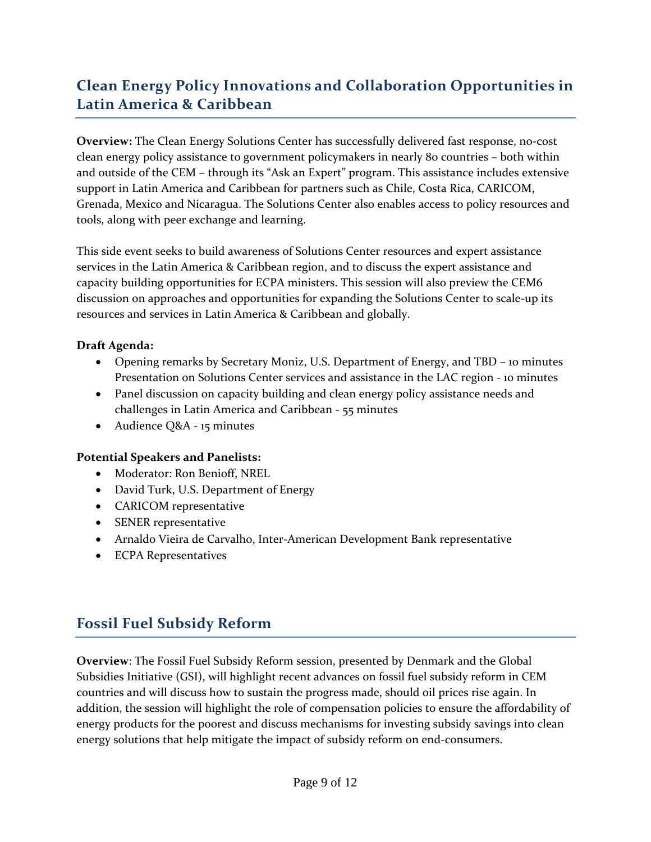# **Clean Energy Policy Innovations and Collaboration Opportunities in Latin America & Caribbean**

**Overview:** The Clean Energy Solutions Center has successfully delivered fast response, no‐cost clean energy policy assistance to government policymakers in nearly 80 countries – both within and outside of the CEM – through its "Ask an Expert" program. This assistance includes extensive support in Latin America and Caribbean for partners such as Chile, Costa Rica, CARICOM, Grenada, Mexico and Nicaragua. The Solutions Center also enables access to policy resources and tools, along with peer exchange and learning.

This side event seeks to build awareness of Solutions Center resources and expert assistance services in the Latin America & Caribbean region, and to discuss the expert assistance and capacity building opportunities for ECPA ministers. This session will also preview the CEM6 discussion on approaches and opportunities for expanding the Solutions Center to scale‐up its resources and services in Latin America & Caribbean and globally.

### **Draft Agenda:**

- Opening remarks by Secretary Moniz, U.S. Department of Energy, and TBD 10 minutes Presentation on Solutions Center services and assistance in the LAC region ‐ 10 minutes
- Panel discussion on capacity building and clean energy policy assistance needs and challenges in Latin America and Caribbean ‐ 55 minutes
- Audience Q&A 15 minutes

### **Potential Speakers and Panelists:**

- Moderator: Ron Benioff, NREL
- David Turk, U.S. Department of Energy
- CARICOM representative
- SENER representative
- Arnaldo Vieira de Carvalho, Inter-American Development Bank representative
- ECPA Representatives

## **Fossil Fuel Subsidy Reform**

**Overview**: The Fossil Fuel Subsidy Reform session, presented by Denmark and the Global Subsidies Initiative (GSI), will highlight recent advances on fossil fuel subsidy reform in CEM countries and will discuss how to sustain the progress made, should oil prices rise again. In addition, the session will highlight the role of compensation policies to ensure the affordability of energy products for the poorest and discuss mechanisms for investing subsidy savings into clean energy solutions that help mitigate the impact of subsidy reform on end-consumers.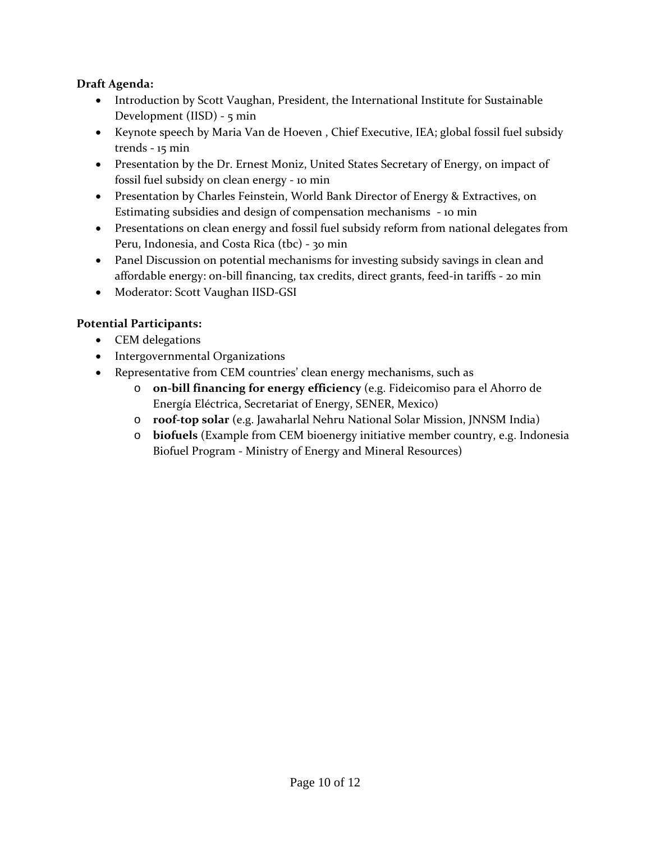### **Draft Agenda:**

- Introduction by Scott Vaughan, President, the International Institute for Sustainable Development (IISD) ‐ 5 min
- Keynote speech by Maria Van de Hoeven , Chief Executive, IEA; global fossil fuel subsidy trends ‐ 15 min
- Presentation by the Dr. Ernest Moniz, United States Secretary of Energy, on impact of fossil fuel subsidy on clean energy ‐ 10 min
- Presentation by Charles Feinstein, World Bank Director of Energy & Extractives, on Estimating subsidies and design of compensation mechanisms ‐ 10 min
- Presentations on clean energy and fossil fuel subsidy reform from national delegates from Peru, Indonesia, and Costa Rica (tbc) ‐ 30 min
- Panel Discussion on potential mechanisms for investing subsidy savings in clean and affordable energy: on‐bill financing, tax credits, direct grants, feed‐in tariffs ‐ 20 min
- Moderator: Scott Vaughan IISD-GSI

## **Potential Participants:**

- CEM delegations
- Intergovernmental Organizations
- Representative from CEM countries' clean energy mechanisms, such as
	- o **on‐bill financing for energy efficiency** (e.g. Fideicomiso para el Ahorro de Energía Eléctrica, Secretariat of Energy, SENER, Mexico)
	- o **roof‐top solar** (e.g. Jawaharlal Nehru National Solar Mission, JNNSM India)
	- o **biofuels** (Example from CEM bioenergy initiative member country, e.g. Indonesia Biofuel Program ‐ Ministry of Energy and Mineral Resources)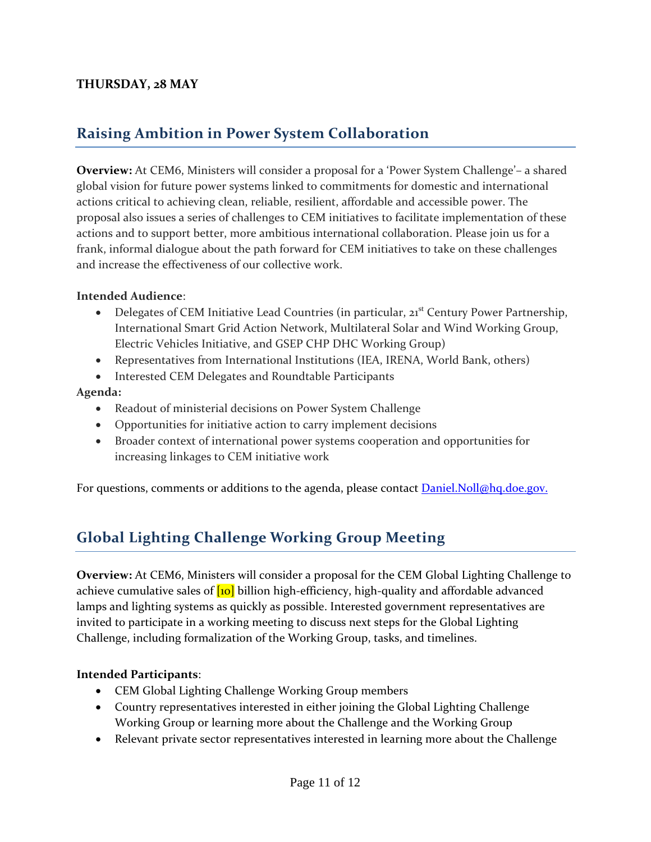## **THURSDAY, 28 MAY**

# **Raising Ambition in Power System Collaboration**

**Overview:** At CEM6, Ministers will consider a proposal for a 'Power System Challenge'– a shared global vision for future power systems linked to commitments for domestic and international actions critical to achieving clean, reliable, resilient, affordable and accessible power. The proposal also issues a series of challenges to CEM initiatives to facilitate implementation of these actions and to support better, more ambitious international collaboration. Please join us for a frank, informal dialogue about the path forward for CEM initiatives to take on these challenges and increase the effectiveness of our collective work.

#### **Intended Audience**:

- Delegates of CEM Initiative Lead Countries (in particular, 21<sup>st</sup> Century Power Partnership, International Smart Grid Action Network, Multilateral Solar and Wind Working Group, Electric Vehicles Initiative, and GSEP CHP DHC Working Group)
- Representatives from International Institutions (IEA, IRENA, World Bank, others)
- Interested CEM Delegates and Roundtable Participants

#### **Agenda:**

- Readout of ministerial decisions on Power System Challenge
- Opportunities for initiative action to carry implement decisions
- Broader context of international power systems cooperation and opportunities for increasing linkages to CEM initiative work

For questions, comments or additions to the agenda, please contact **Daniel.Noll@hq.doe.gov.** 

# **Global Lighting Challenge Working Group Meeting**

**Overview:** At CEM6, Ministers will consider a proposal for the CEM Global Lighting Challenge to achieve cumulative sales of  $\log$  billion high-efficiency, high-quality and affordable advanced lamps and lighting systems as quickly as possible. Interested government representatives are invited to participate in a working meeting to discuss next steps for the Global Lighting Challenge, including formalization of the Working Group, tasks, and timelines.

### **Intended Participants**:

- CEM Global Lighting Challenge Working Group members
- Country representatives interested in either joining the Global Lighting Challenge Working Group or learning more about the Challenge and the Working Group
- Relevant private sector representatives interested in learning more about the Challenge